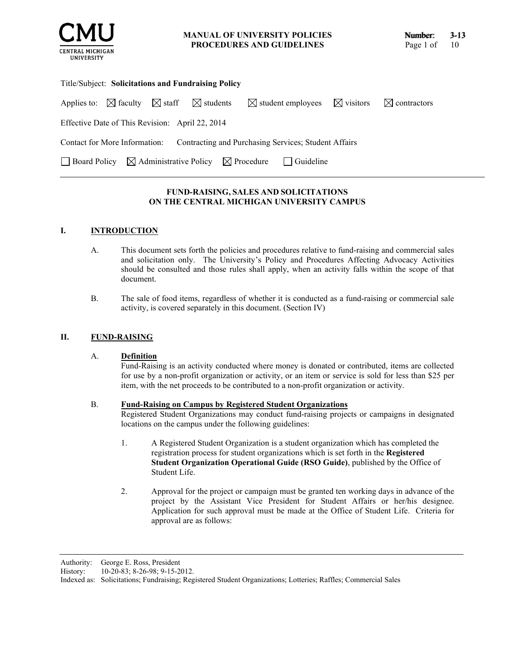

**MANUAL OF UNIVERSITY POLICIES PROCEDURES AND GUIDELINES**

| Title/Subject: Solicitations and Fundraising Policy                                        |  |  |  |                                                    |  |                         |  |
|--------------------------------------------------------------------------------------------|--|--|--|----------------------------------------------------|--|-------------------------|--|
| Applies to: $\boxtimes$ faculty $\boxtimes$ staff $\boxtimes$ students                     |  |  |  | $\boxtimes$ student employees $\boxtimes$ visitors |  | $\boxtimes$ contractors |  |
| Effective Date of This Revision: April 22, 2014                                            |  |  |  |                                                    |  |                         |  |
| Contact for More Information: Contracting and Purchasing Services; Student Affairs         |  |  |  |                                                    |  |                         |  |
| $\Box$ Board Policy $\boxtimes$ Administrative Policy $\boxtimes$ Procedure<br>  Guideline |  |  |  |                                                    |  |                         |  |

# **FUND-RAISING, SALES AND SOLICITATIONS ON THE CENTRAL MICHIGAN UNIVERSITY CAMPUS**

# **I. INTRODUCTION**

- A. This document sets forth the policies and procedures relative to fund-raising and commercial sales and solicitation only. The University's Policy and Procedures Affecting Advocacy Activities should be consulted and those rules shall apply, when an activity falls within the scope of that document.
- B. The sale of food items, regardless of whether it is conducted as a fund-raising or commercial sale activity, is covered separately in this document. (Section IV)

### **II. FUND-RAISING**

## A. **Definition**

Fund-Raising is an activity conducted where money is donated or contributed, items are collected for use by a non-profit organization or activity, or an item or service is sold for less than \$25 per item, with the net proceeds to be contributed to a non-profit organization or activity.

### B. **Fund-Raising on Campus by Registered Student Organizations**

Registered Student Organizations may conduct fund-raising projects or campaigns in designated locations on the campus under the following guidelines:

- 1. A Registered Student Organization is a student organization which has completed the registration process for student organizations which is set forth in the **Registered Student Organization Operational Guide (RSO Guide)**, published by the Office of Student Life.
- 2. Approval for the project or campaign must be granted ten working days in advance of the project by the Assistant Vice President for Student Affairs or her/his designee. Application for such approval must be made at the Office of Student Life. Criteria for approval are as follows:

Authority: George E. Ross, President

History: 10-20-83; 8-26-98; 9-15-2012.

Indexed as: Solicitations; Fundraising; Registered Student Organizations; Lotteries; Raffles; Commercial Sales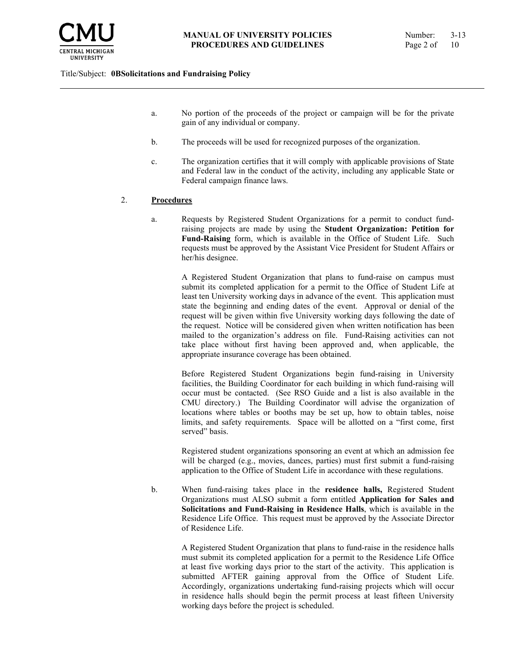

- a. No portion of the proceeds of the project or campaign will be for the private gain of any individual or company.
- b. The proceeds will be used for recognized purposes of the organization.
- c. The organization certifies that it will comply with applicable provisions of State and Federal law in the conduct of the activity, including any applicable State or Federal campaign finance laws.

### 2. **Procedures**

a. Requests by Registered Student Organizations for a permit to conduct fundraising projects are made by using the **Student Organization: Petition for Fund-Raising** form, which is available in the Office of Student Life. Such requests must be approved by the Assistant Vice President for Student Affairs or her/his designee.

A Registered Student Organization that plans to fund-raise on campus must submit its completed application for a permit to the Office of Student Life at least ten University working days in advance of the event. This application must state the beginning and ending dates of the event. Approval or denial of the request will be given within five University working days following the date of the request. Notice will be considered given when written notification has been mailed to the organization's address on file. Fund-Raising activities can not take place without first having been approved and, when applicable, the appropriate insurance coverage has been obtained.

Before Registered Student Organizations begin fund-raising in University facilities, the Building Coordinator for each building in which fund-raising will occur must be contacted. (See RSO Guide and a list is also available in the CMU directory.) The Building Coordinator will advise the organization of locations where tables or booths may be set up, how to obtain tables, noise limits, and safety requirements. Space will be allotted on a "first come, first served" basis.

Registered student organizations sponsoring an event at which an admission fee will be charged (e.g., movies, dances, parties) must first submit a fund-raising application to the Office of Student Life in accordance with these regulations.

b. When fund-raising takes place in the **residence halls,** Registered Student Organizations must ALSO submit a form entitled **Application for Sales and Solicitations and Fund-Raising in Residence Halls**, which is available in the Residence Life Office. This request must be approved by the Associate Director of Residence Life.

> A Registered Student Organization that plans to fund-raise in the residence halls must submit its completed application for a permit to the Residence Life Office at least five working days prior to the start of the activity. This application is submitted AFTER gaining approval from the Office of Student Life. Accordingly, organizations undertaking fund-raising projects which will occur in residence halls should begin the permit process at least fifteen University working days before the project is scheduled.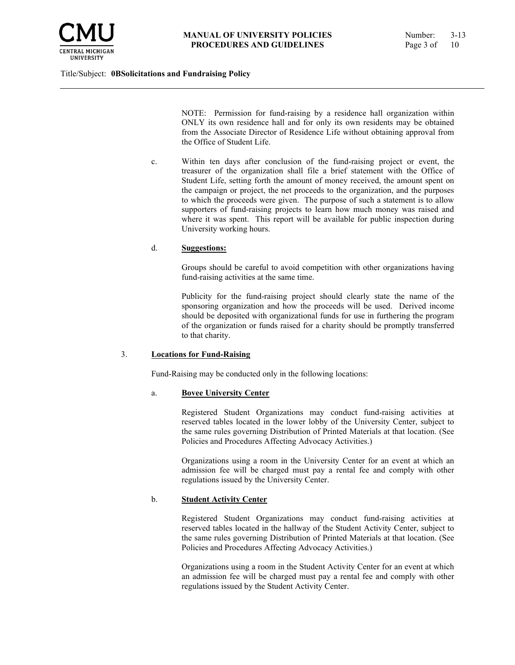

NOTE: Permission for fund-raising by a residence hall organization within ONLY its own residence hall and for only its own residents may be obtained from the Associate Director of Residence Life without obtaining approval from the Office of Student Life.

c. Within ten days after conclusion of the fund-raising project or event, the treasurer of the organization shall file a brief statement with the Office of Student Life, setting forth the amount of money received, the amount spent on the campaign or project, the net proceeds to the organization, and the purposes to which the proceeds were given. The purpose of such a statement is to allow supporters of fund-raising projects to learn how much money was raised and where it was spent. This report will be available for public inspection during University working hours.

#### d. **Suggestions:**

Groups should be careful to avoid competition with other organizations having fund-raising activities at the same time.

Publicity for the fund-raising project should clearly state the name of the sponsoring organization and how the proceeds will be used. Derived income should be deposited with organizational funds for use in furthering the program of the organization or funds raised for a charity should be promptly transferred to that charity.

#### 3. **Locations for Fund-Raising**

Fund-Raising may be conducted only in the following locations:

## a. **Bovee University Center**

Registered Student Organizations may conduct fund-raising activities at reserved tables located in the lower lobby of the University Center, subject to the same rules governing Distribution of Printed Materials at that location. (See Policies and Procedures Affecting Advocacy Activities.)

Organizations using a room in the University Center for an event at which an admission fee will be charged must pay a rental fee and comply with other regulations issued by the University Center.

#### b. **Student Activity Center**

Registered Student Organizations may conduct fund-raising activities at reserved tables located in the hallway of the Student Activity Center, subject to the same rules governing Distribution of Printed Materials at that location. (See Policies and Procedures Affecting Advocacy Activities.)

Organizations using a room in the Student Activity Center for an event at which an admission fee will be charged must pay a rental fee and comply with other regulations issued by the Student Activity Center.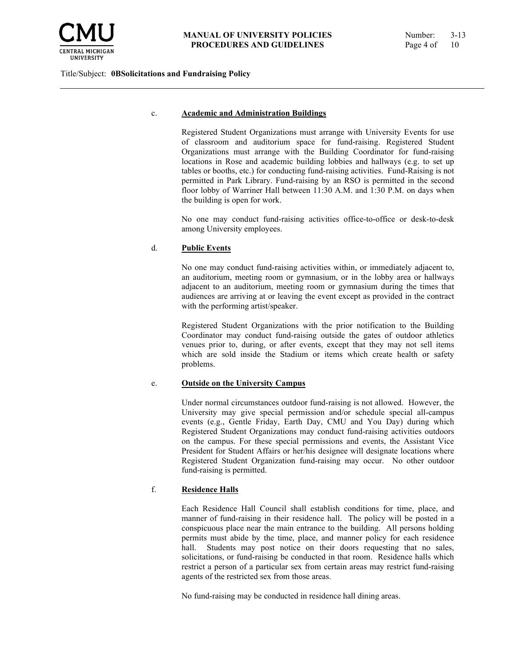

### c. **Academic and Administration Buildings**

Registered Student Organizations must arrange with University Events for use of classroom and auditorium space for fund-raising. Registered Student Organizations must arrange with the Building Coordinator for fund-raising locations in Rose and academic building lobbies and hallways (e.g. to set up tables or booths, etc.) for conducting fund-raising activities. Fund-Raising is not permitted in Park Library. Fund-raising by an RSO is permitted in the second floor lobby of Warriner Hall between 11:30 A.M. and 1:30 P.M. on days when the building is open for work.

No one may conduct fund-raising activities office-to-office or desk-to-desk among University employees.

## d. **Public Events**

No one may conduct fund-raising activities within, or immediately adjacent to, an auditorium, meeting room or gymnasium, or in the lobby area or hallways adjacent to an auditorium, meeting room or gymnasium during the times that audiences are arriving at or leaving the event except as provided in the contract with the performing artist/speaker.

Registered Student Organizations with the prior notification to the Building Coordinator may conduct fund-raising outside the gates of outdoor athletics venues prior to, during, or after events, except that they may not sell items which are sold inside the Stadium or items which create health or safety problems.

## e. **Outside on the University Campus**

Under normal circumstances outdoor fund-raising is not allowed. However, the University may give special permission and/or schedule special all-campus events (e.g., Gentle Friday, Earth Day, CMU and You Day) during which Registered Student Organizations may conduct fund-raising activities outdoors on the campus. For these special permissions and events, the Assistant Vice President for Student Affairs or her/his designee will designate locations where Registered Student Organization fund-raising may occur. No other outdoor fund-raising is permitted.

## f. **Residence Halls**

Each Residence Hall Council shall establish conditions for time, place, and manner of fund-raising in their residence hall. The policy will be posted in a conspicuous place near the main entrance to the building. All persons holding permits must abide by the time, place, and manner policy for each residence hall. Students may post notice on their doors requesting that no sales, solicitations, or fund-raising be conducted in that room. Residence halls which restrict a person of a particular sex from certain areas may restrict fund-raising agents of the restricted sex from those areas.

No fund-raising may be conducted in residence hall dining areas.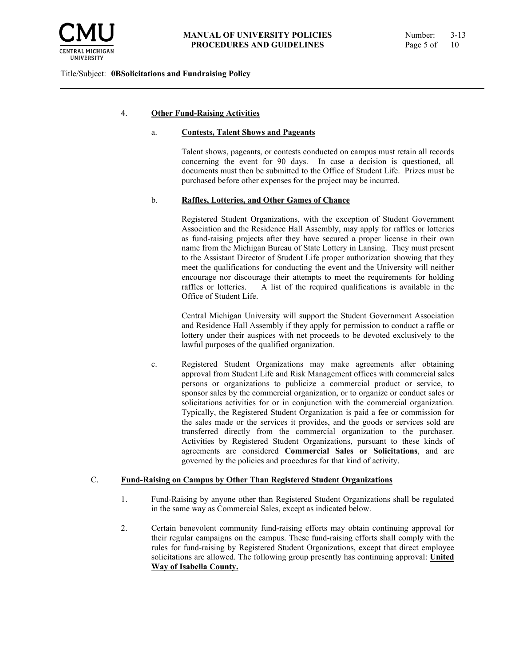

### 4. **Other Fund-Raising Activities**

#### a. **Contests, Talent Shows and Pageants**

Talent shows, pageants, or contests conducted on campus must retain all records concerning the event for 90 days. In case a decision is questioned, all documents must then be submitted to the Office of Student Life. Prizes must be purchased before other expenses for the project may be incurred.

#### b. **Raffles, Lotteries, and Other Games of Chance**

Registered Student Organizations, with the exception of Student Government Association and the Residence Hall Assembly, may apply for raffles or lotteries as fund-raising projects after they have secured a proper license in their own name from the Michigan Bureau of State Lottery in Lansing. They must present to the Assistant Director of Student Life proper authorization showing that they meet the qualifications for conducting the event and the University will neither encourage nor discourage their attempts to meet the requirements for holding raffles or lotteries. A list of the required qualifications is available in the Office of Student Life.

Central Michigan University will support the Student Government Association and Residence Hall Assembly if they apply for permission to conduct a raffle or lottery under their auspices with net proceeds to be devoted exclusively to the lawful purposes of the qualified organization.

c. Registered Student Organizations may make agreements after obtaining approval from Student Life and Risk Management offices with commercial sales persons or organizations to publicize a commercial product or service, to sponsor sales by the commercial organization, or to organize or conduct sales or solicitations activities for or in conjunction with the commercial organization. Typically, the Registered Student Organization is paid a fee or commission for the sales made or the services it provides, and the goods or services sold are transferred directly from the commercial organization to the purchaser. Activities by Registered Student Organizations, pursuant to these kinds of agreements are considered **Commercial Sales or Solicitations**, and are governed by the policies and procedures for that kind of activity.

### C. **Fund-Raising on Campus by Other Than Registered Student Organizations**

- 1. Fund-Raising by anyone other than Registered Student Organizations shall be regulated in the same way as Commercial Sales, except as indicated below.
- 2. Certain benevolent community fund-raising efforts may obtain continuing approval for their regular campaigns on the campus. These fund-raising efforts shall comply with the rules for fund-raising by Registered Student Organizations, except that direct employee solicitations are allowed. The following group presently has continuing approval: **United Way of Isabella County.**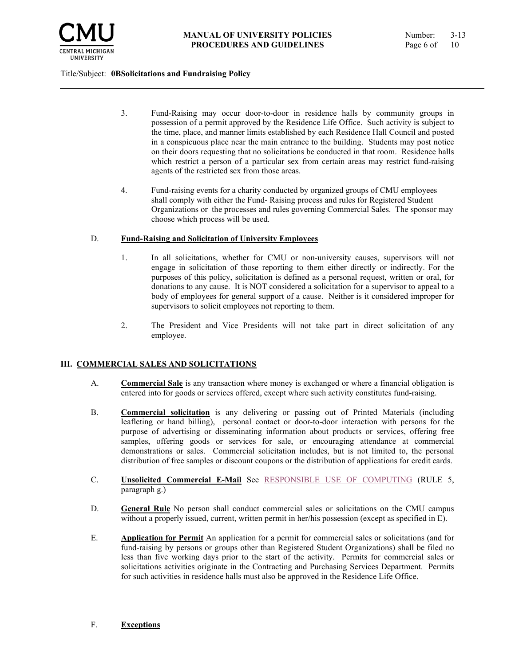

- 3. Fund-Raising may occur door-to-door in residence halls by community groups in possession of a permit approved by the Residence Life Office. Such activity is subject to the time, place, and manner limits established by each Residence Hall Council and posted in a conspicuous place near the main entrance to the building. Students may post notice on their doors requesting that no solicitations be conducted in that room. Residence halls which restrict a person of a particular sex from certain areas may restrict fund-raising agents of the restricted sex from those areas.
- 4. Fund-raising events for a charity conducted by organized groups of CMU employees shall comply with either the Fund- Raising process and rules for Registered Student Organizations or the processes and rules governing Commercial Sales. The sponsor may choose which process will be used.

### D. **Fund-Raising and Solicitation of University Employees**

- 1. In all solicitations, whether for CMU or non-university causes, supervisors will not engage in solicitation of those reporting to them either directly or indirectly. For the purposes of this policy, solicitation is defined as a personal request, written or oral, for donations to any cause. It is NOT considered a solicitation for a supervisor to appeal to a body of employees for general support of a cause. Neither is it considered improper for supervisors to solicit employees not reporting to them.
- 2. The President and Vice Presidents will not take part in direct solicitation of any employee.

## **III. COMMERCIAL SALES AND SOLICITATIONS**

- A. **Commercial Sale** is any transaction where money is exchanged or where a financial obligation is entered into for goods or services offered, except where such activity constitutes fund-raising.
- B. **Commercial solicitation** is any delivering or passing out of Printed Materials (including leafleting or hand billing), personal contact or door-to-door interaction with persons for the purpose of advertising or disseminating information about products or services, offering free samples, offering goods or services for sale, or encouraging attendance at commercial demonstrations or sales. Commercial solicitation includes, but is not limited to, the personal distribution of free samples or discount coupons or the distribution of applications for credit cards.
- C. **Unsolicited Commercial E-Mail** See [RESPONSIBLE USE OF COMPUTING](https://www.cmich.edu/docs/default-source/president) (RULE 5, paragraph g.)
- D. **General Rule** No person shall conduct commercial sales or solicitations on the CMU campus without a properly issued, current, written permit in her/his possession (except as specified in E).
- E. **Application for Permit** An application for a permit for commercial sales or solicitations (and for fund-raising by persons or groups other than Registered Student Organizations) shall be filed no less than five working days prior to the start of the activity. Permits for commercial sales or solicitations activities originate in the Contracting and Purchasing Services Department. Permits for such activities in residence halls must also be approved in the Residence Life Office.

### F. **Exceptions**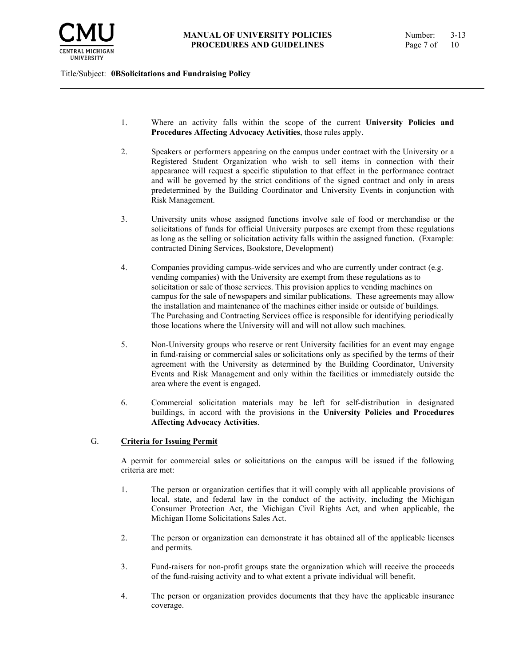

- 1. Where an activity falls within the scope of the current **University Policies and Procedures Affecting Advocacy Activities**, those rules apply.
- 2. Speakers or performers appearing on the campus under contract with the University or a Registered Student Organization who wish to sell items in connection with their appearance will request a specific stipulation to that effect in the performance contract and will be governed by the strict conditions of the signed contract and only in areas predetermined by the Building Coordinator and University Events in conjunction with Risk Management.
- 3. University units whose assigned functions involve sale of food or merchandise or the solicitations of funds for official University purposes are exempt from these regulations as long as the selling or solicitation activity falls within the assigned function. (Example: contracted Dining Services, Bookstore, Development)
- 4. Companies providing campus-wide services and who are currently under contract (e.g. vending companies) with the University are exempt from these regulations as to solicitation or sale of those services. This provision applies to vending machines on campus for the sale of newspapers and similar publications. These agreements may allow the installation and maintenance of the machines either inside or outside of buildings. The Purchasing and Contracting Services office is responsible for identifying periodically those locations where the University will and will not allow such machines.
- 5. Non-University groups who reserve or rent University facilities for an event may engage in fund-raising or commercial sales or solicitations only as specified by the terms of their agreement with the University as determined by the Building Coordinator, University Events and Risk Management and only within the facilities or immediately outside the area where the event is engaged.
- 6. Commercial solicitation materials may be left for self-distribution in designated buildings, in accord with the provisions in the **University Policies and Procedures Affecting Advocacy Activities**.

## G. **Criteria for Issuing Permit**

A permit for commercial sales or solicitations on the campus will be issued if the following criteria are met:

- 1. The person or organization certifies that it will comply with all applicable provisions of local, state, and federal law in the conduct of the activity, including the Michigan Consumer Protection Act, the Michigan Civil Rights Act, and when applicable, the Michigan Home Solicitations Sales Act.
- 2. The person or organization can demonstrate it has obtained all of the applicable licenses and permits.
- 3. Fund-raisers for non-profit groups state the organization which will receive the proceeds of the fund-raising activity and to what extent a private individual will benefit.
- 4. The person or organization provides documents that they have the applicable insurance coverage.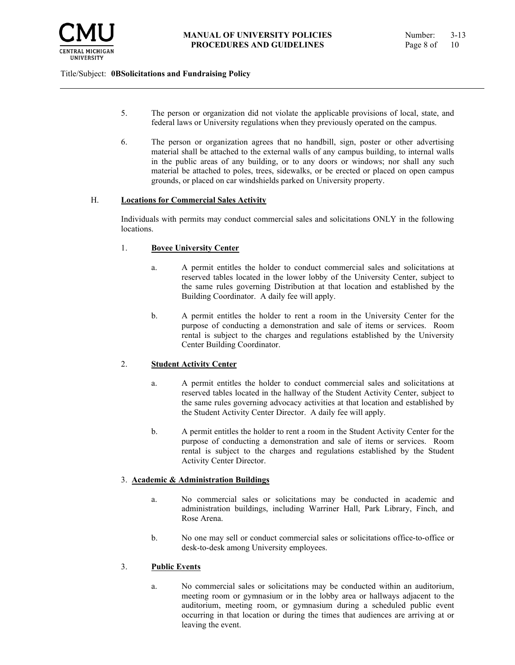

- 5. The person or organization did not violate the applicable provisions of local, state, and federal laws or University regulations when they previously operated on the campus.
- 6. The person or organization agrees that no handbill, sign, poster or other advertising material shall be attached to the external walls of any campus building, to internal walls in the public areas of any building, or to any doors or windows; nor shall any such material be attached to poles, trees, sidewalks, or be erected or placed on open campus grounds, or placed on car windshields parked on University property.

### H. **Locations for Commercial Sales Activity**

Individuals with permits may conduct commercial sales and solicitations ONLY in the following locations.

### 1. **Bovee University Center**

- a. A permit entitles the holder to conduct commercial sales and solicitations at reserved tables located in the lower lobby of the University Center, subject to the same rules governing Distribution at that location and established by the Building Coordinator. A daily fee will apply.
- b. A permit entitles the holder to rent a room in the University Center for the purpose of conducting a demonstration and sale of items or services. Room rental is subject to the charges and regulations established by the University Center Building Coordinator.

## 2. **Student Activity Center**

- a. A permit entitles the holder to conduct commercial sales and solicitations at reserved tables located in the hallway of the Student Activity Center, subject to the same rules governing advocacy activities at that location and established by the Student Activity Center Director. A daily fee will apply.
- b. A permit entitles the holder to rent a room in the Student Activity Center for the purpose of conducting a demonstration and sale of items or services. Room rental is subject to the charges and regulations established by the Student Activity Center Director.

## 3. **Academic & Administration Buildings**

- a. No commercial sales or solicitations may be conducted in academic and administration buildings, including Warriner Hall, Park Library, Finch, and Rose Arena.
- b. No one may sell or conduct commercial sales or solicitations office-to-office or desk-to-desk among University employees.

## 3. **Public Events**

a. No commercial sales or solicitations may be conducted within an auditorium, meeting room or gymnasium or in the lobby area or hallways adjacent to the auditorium, meeting room, or gymnasium during a scheduled public event occurring in that location or during the times that audiences are arriving at or leaving the event.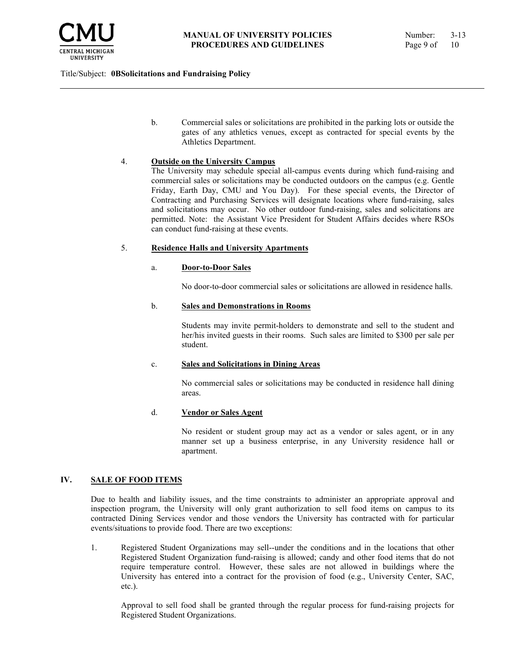

b. Commercial sales or solicitations are prohibited in the parking lots or outside the gates of any athletics venues, except as contracted for special events by the Athletics Department.

### 4. **Outside on the University Campus**

The University may schedule special all-campus events during which fund-raising and commercial sales or solicitations may be conducted outdoors on the campus (e.g. Gentle Friday, Earth Day, CMU and You Day). For these special events, the Director of Contracting and Purchasing Services will designate locations where fund-raising, sales and solicitations may occur. No other outdoor fund-raising, sales and solicitations are permitted. Note: the Assistant Vice President for Student Affairs decides where RSOs can conduct fund-raising at these events.

### 5. **Residence Halls and University Apartments**

### a. **Door-to-Door Sales**

No door-to-door commercial sales or solicitations are allowed in residence halls.

### b. **Sales and Demonstrations in Rooms**

Students may invite permit-holders to demonstrate and sell to the student and her/his invited guests in their rooms. Such sales are limited to \$300 per sale per student.

#### c. **Sales and Solicitations in Dining Areas**

No commercial sales or solicitations may be conducted in residence hall dining areas.

#### d. **Vendor or Sales Agent**

No resident or student group may act as a vendor or sales agent, or in any manner set up a business enterprise, in any University residence hall or apartment.

## **IV. SALE OF FOOD ITEMS**

Due to health and liability issues, and the time constraints to administer an appropriate approval and inspection program, the University will only grant authorization to sell food items on campus to its contracted Dining Services vendor and those vendors the University has contracted with for particular events/situations to provide food. There are two exceptions:

1. Registered Student Organizations may sell--under the conditions and in the locations that other Registered Student Organization fund-raising is allowed; candy and other food items that do not require temperature control. However, these sales are not allowed in buildings where the University has entered into a contract for the provision of food (e.g., University Center, SAC, etc.).

Approval to sell food shall be granted through the regular process for fund-raising projects for Registered Student Organizations.